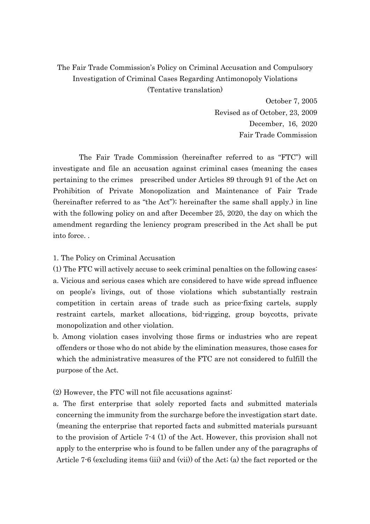## The Fair Trade Commission's Policy on Criminal Accusation and Compulsory Investigation of Criminal Cases Regarding Antimonopoly Violations (Tentative translation)

October 7, 2005 Revised as of October, 23, 2009 December, 16, 2020 Fair Trade Commission

The Fair Trade Commission (hereinafter referred to as "FTC") will investigate and file an accusation against criminal cases (meaning the cases pertaining to the crimes prescribed under Articles 89 through 91 of the Act on Prohibition of Private Monopolization and Maintenance of Fair Trade (hereinafter referred to as "the Act"); hereinafter the same shall apply.) in line with the following policy on and after December 25, 2020, the day on which the amendment regarding the leniency program prescribed in the Act shall be put into force. .

## 1. The Policy on Criminal Accusation

(1) The FTC will actively accuse to seek criminal penalties on the following cases: a. Vicious and serious cases which are considered to have wide spread influence on people's livings, out of those violations which substantially restrain competition in certain areas of trade such as price-fixing cartels, supply restraint cartels, market allocations, bid-rigging, group boycotts, private monopolization and other violation.

b. Among violation cases involving those firms or industries who are repeat offenders or those who do not abide by the elimination measures, those cases for which the administrative measures of the FTC are not considered to fulfill the purpose of the Act.

(2) However, the FTC will not file accusations against:

a. The first enterprise that solely reported facts and submitted materials concerning the immunity from the surcharge before the investigation start date. (meaning the enterprise that reported facts and submitted materials pursuant to the provision of Article 7-4 (1) of the Act. However, this provision shall not apply to the enterprise who is found to be fallen under any of the paragraphs of Article 7-6 (excluding items (iii) and (vii)) of the Act; (a) the fact reported or the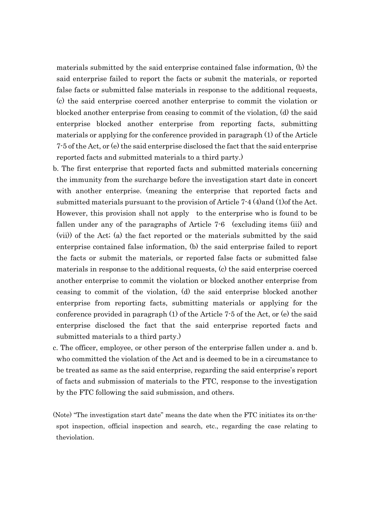materials submitted by the said enterprise contained false information, (b) the said enterprise failed to report the facts or submit the materials, or reported false facts or submitted false materials in response to the additional requests, (c) the said enterprise coerced another enterprise to commit the violation or blocked another enterprise from ceasing to commit of the violation, (d) the said enterprise blocked another enterprise from reporting facts, submitting materials or applying for the conference provided in paragraph (1) of the Article 7-5 of the Act, or (e) the said enterprise disclosed the fact that the said enterprise reported facts and submitted materials to a third party.)

- b. The first enterprise that reported facts and submitted materials concerning the immunity from the surcharge before the investigation start date in concert with another enterprise. (meaning the enterprise that reported facts and submitted materials pursuant to the provision of Article 7-4 (4)and (1)of the Act. However, this provision shall not apply to the enterprise who is found to be fallen under any of the paragraphs of Article 7-6 (excluding items (iii) and (vii)) of the Act; (a) the fact reported or the materials submitted by the said enterprise contained false information, (b) the said enterprise failed to report the facts or submit the materials, or reported false facts or submitted false materials in response to the additional requests, (c) the said enterprise coerced another enterprise to commit the violation or blocked another enterprise from ceasing to commit of the violation, (d) the said enterprise blocked another enterprise from reporting facts, submitting materials or applying for the conference provided in paragraph (1) of the Article 7-5 of the Act, or (e) the said enterprise disclosed the fact that the said enterprise reported facts and submitted materials to a third party.)
- c. The officer, employee, or other person of the enterprise fallen under a. and b. who committed the violation of the Act and is deemed to be in a circumstance to be treated as same as the said enterprise, regarding the said enterprise's report of facts and submission of materials to the FTC, response to the investigation by the FTC following the said submission, and others.
- (Note) "The investigation start date" means the date when the FTC initiates its on-thespot inspection, official inspection and search, etc., regarding the case relating to theviolation.